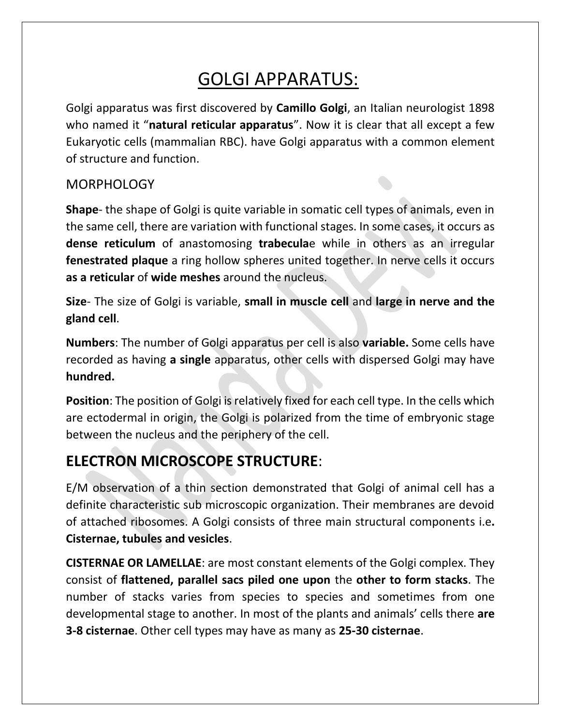# GOLGI APPARATUS:

Golgi apparatus was first discovered by **Camillo Golgi**, an Italian neurologist 1898 who named it "**natural reticular apparatus**". Now it is clear that all except a few Eukaryotic cells (mammalian RBC). have Golgi apparatus with a common element of structure and function.

# **MORPHOLOGY**

**Shape**- the shape of Golgi is quite variable in somatic cell types of animals, even in the same cell, there are variation with functional stages. In some cases, it occurs as **dense reticulum** of anastomosing **trabecula**e while in others as an irregular **fenestrated plaque** a ring hollow spheres united together. In nerve cells it occurs **as a reticular** of **wide meshes** around the nucleus.

**Size**- The size of Golgi is variable, **small in muscle cell** and **large in nerve and the gland cell**.

**Numbers**: The number of Golgi apparatus per cell is also **variable.** Some cells have recorded as having **a single** apparatus, other cells with dispersed Golgi may have **hundred.**

**Position**: The position of Golgi is relatively fixed for each cell type. In the cells which are ectodermal in origin, the Golgi is polarized from the time of embryonic stage between the nucleus and the periphery of the cell.

# **ELECTRON MICROSCOPE STRUCTURE**:

E/M observation of a thin section demonstrated that Golgi of animal cell has a definite characteristic sub microscopic organization. Their membranes are devoid of attached ribosomes. A Golgi consists of three main structural components i.e**. Cisternae, tubules and vesicles**.

**CISTERNAE OR LAMELLAE**: are most constant elements of the Golgi complex. They consist of **flattened, parallel sacs piled one upon** the **other to form stacks**. The number of stacks varies from species to species and sometimes from one developmental stage to another. In most of the plants and animals' cells there **are 3-8 cisternae**. Other cell types may have as many as **25-30 cisternae**.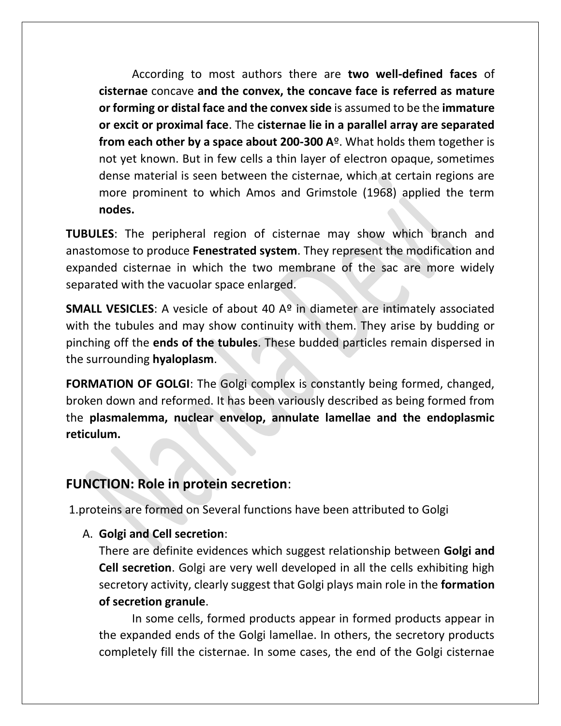According to most authors there are **two well-defined faces** of **cisternae** concave **and the convex, the concave face is referred as mature or forming or distal face and the convex side** is assumed to be the **immature or excit or proximal face**. The **cisternae lie in a parallel array are separated from each other by a space about 200-300 A**º. What holds them together is not yet known. But in few cells a thin layer of electron opaque, sometimes dense material is seen between the cisternae, which at certain regions are more prominent to which Amos and Grimstole (1968) applied the term **nodes.**

**TUBULES**: The peripheral region of cisternae may show which branch and anastomose to produce **Fenestrated system**. They represent the modification and expanded cisternae in which the two membrane of the sac are more widely separated with the vacuolar space enlarged.

**SMALL VESICLES:** A vesicle of about 40 A<sup>o</sup> in diameter are intimately associated with the tubules and may show continuity with them. They arise by budding or pinching off the **ends of the tubules**. These budded particles remain dispersed in the surrounding **hyaloplasm**.

**FORMATION OF GOLGI:** The Golgi complex is constantly being formed, changed, broken down and reformed. It has been variously described as being formed from the **plasmalemma, nuclear envelop, annulate lamellae and the endoplasmic reticulum.** 

# **FUNCTION: Role in protein secretion**:

1.proteins are formed on Several functions have been attributed to Golgi

## A. **Golgi and Cell secretion**:

There are definite evidences which suggest relationship between **Golgi and Cell secretion**. Golgi are very well developed in all the cells exhibiting high secretory activity, clearly suggest that Golgi plays main role in the **formation of secretion granule**.

In some cells, formed products appear in formed products appear in the expanded ends of the Golgi lamellae. In others, the secretory products completely fill the cisternae. In some cases, the end of the Golgi cisternae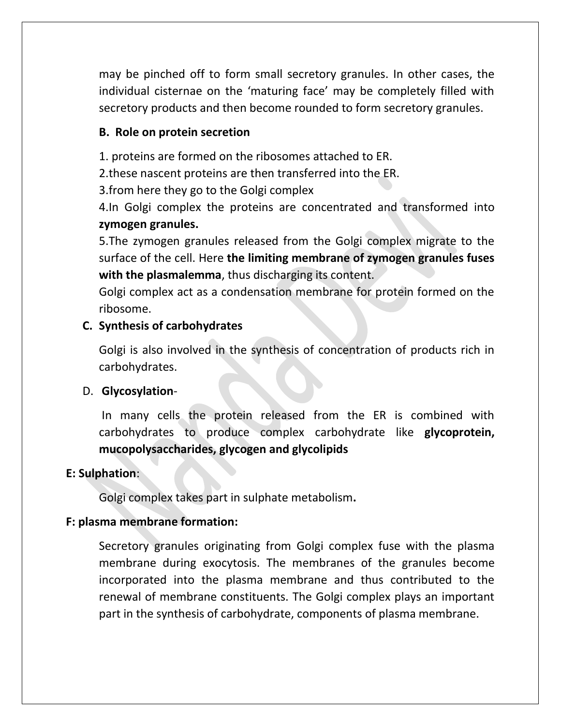may be pinched off to form small secretory granules. In other cases, the individual cisternae on the 'maturing face' may be completely filled with secretory products and then become rounded to form secretory granules.

#### **B. Role on protein secretion**

1. proteins are formed on the ribosomes attached to ER.

2.these nascent proteins are then transferred into the ER.

3.from here they go to the Golgi complex

4.In Golgi complex the proteins are concentrated and transformed into **zymogen granules.**

5.The zymogen granules released from the Golgi complex migrate to the surface of the cell. Here **the limiting membrane of zymogen granules fuses with the plasmalemma**, thus discharging its content.

Golgi complex act as a condensation membrane for protein formed on the ribosome.

#### **C. Synthesis of carbohydrates**

Golgi is also involved in the synthesis of concentration of products rich in carbohydrates.

#### D. **Glycosylation**-

In many cells the protein released from the ER is combined with carbohydrates to produce complex carbohydrate like **glycoprotein, mucopolysaccharides, glycogen and glycolipids**

#### **E: Sulphation**:

Golgi complex takes part in sulphate metabolism**.**

#### **F: plasma membrane formation:**

Secretory granules originating from Golgi complex fuse with the plasma membrane during exocytosis. The membranes of the granules become incorporated into the plasma membrane and thus contributed to the renewal of membrane constituents. The Golgi complex plays an important part in the synthesis of carbohydrate, components of plasma membrane.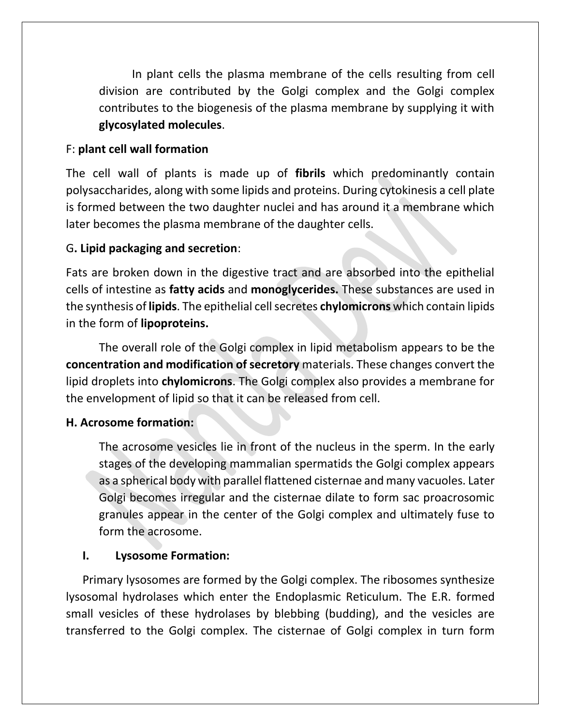In plant cells the plasma membrane of the cells resulting from cell division are contributed by the Golgi complex and the Golgi complex contributes to the biogenesis of the plasma membrane by supplying it with **glycosylated molecules**.

#### F: **plant cell wall formation**

The cell wall of plants is made up of **fibrils** which predominantly contain polysaccharides, along with some lipids and proteins. During cytokinesis a cell plate is formed between the two daughter nuclei and has around it a membrane which later becomes the plasma membrane of the daughter cells.

#### G**. Lipid packaging and secretion**:

Fats are broken down in the digestive tract and are absorbed into the epithelial cells of intestine as **fatty acids** and **monoglycerides.** These substances are used in the synthesis of **lipids**. The epithelial cell secretes **chylomicrons** which contain lipids in the form of **lipoproteins.**

The overall role of the Golgi complex in lipid metabolism appears to be the **concentration and modification of secretory** materials. These changes convert the lipid droplets into **chylomicrons**. The Golgi complex also provides a membrane for the envelopment of lipid so that it can be released from cell.

## **H. Acrosome formation:**

The acrosome vesicles lie in front of the nucleus in the sperm. In the early stages of the developing mammalian spermatids the Golgi complex appears as a spherical body with parallel flattened cisternae and many vacuoles. Later Golgi becomes irregular and the cisternae dilate to form sac proacrosomic granules appear in the center of the Golgi complex and ultimately fuse to form the acrosome.

#### **I. Lysosome Formation:**

Primary lysosomes are formed by the Golgi complex. The ribosomes synthesize lysosomal hydrolases which enter the Endoplasmic Reticulum. The E.R. formed small vesicles of these hydrolases by blebbing (budding), and the vesicles are transferred to the Golgi complex. The cisternae of Golgi complex in turn form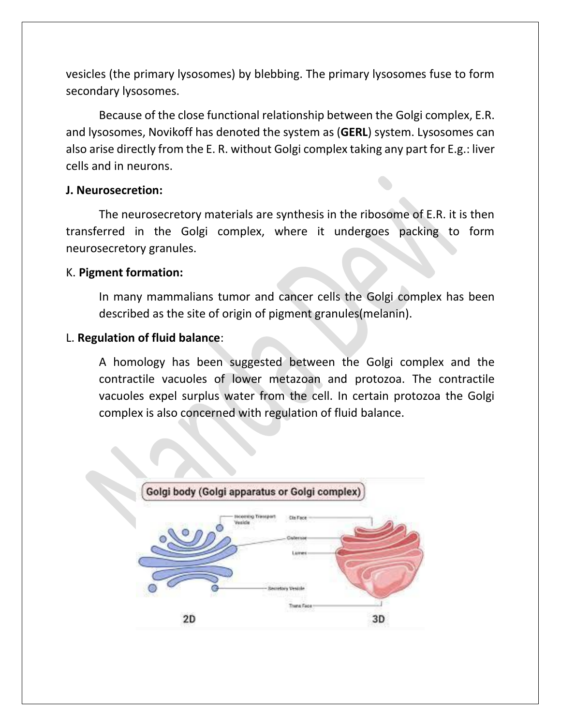vesicles (the primary lysosomes) by blebbing. The primary lysosomes fuse to form secondary lysosomes.

Because of the close functional relationship between the Golgi complex, E.R. and lysosomes, Novikoff has denoted the system as (**GERL**) system. Lysosomes can also arise directly from the E. R. without Golgi complex taking any part for E.g.: liver cells and in neurons.

#### **J. Neurosecretion:**

The neurosecretory materials are synthesis in the ribosome of E.R. it is then transferred in the Golgi complex, where it undergoes packing to form neurosecretory granules.

#### K. **Pigment formation:**

In many mammalians tumor and cancer cells the Golgi complex has been described as the site of origin of pigment granules(melanin).

#### L. **Regulation of fluid balance**:

A homology has been suggested between the Golgi complex and the contractile vacuoles of lower metazoan and protozoa. The contractile vacuoles expel surplus water from the cell. In certain protozoa the Golgi complex is also concerned with regulation of fluid balance.